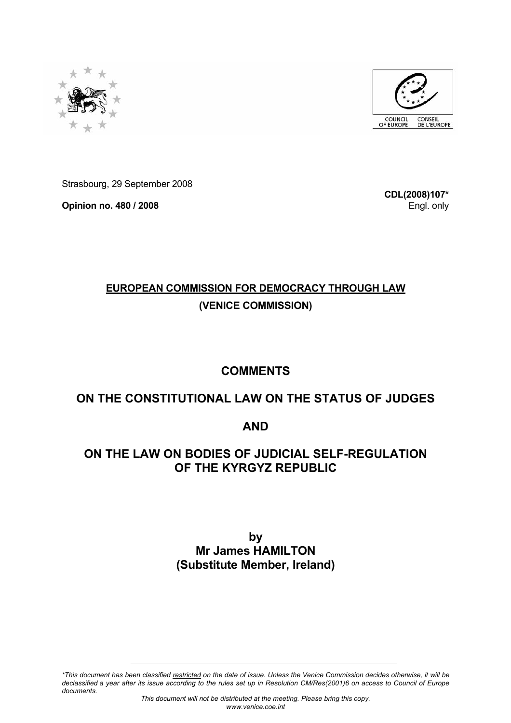



Strasbourg, 29 September 2008

**Opinion no. 480 / 2008** 

**CDL(2008)107\*** Engl. only

# **EUROPEAN COMMISSION FOR DEMOCRACY THROUGH LAW (VENICE COMMISSION)**

# **COMMENTS**

# **ON THE CONSTITUTIONAL LAW ON THE STATUS OF JUDGES**

### **AND**

### **ON THE LAW ON BODIES OF JUDICIAL SELF-REGULATION OF THE KYRGYZ REPUBLIC**

**by Mr James HAMILTON (Substitute Member, Ireland)** 

*\*This document has been classified restricted on the date of issue. Unless the Venice Commission decides otherwise, it will be declassified a year after its issue according to the rules set up in Resolution CM/Res(2001)6 on access to Council of Europe documents.*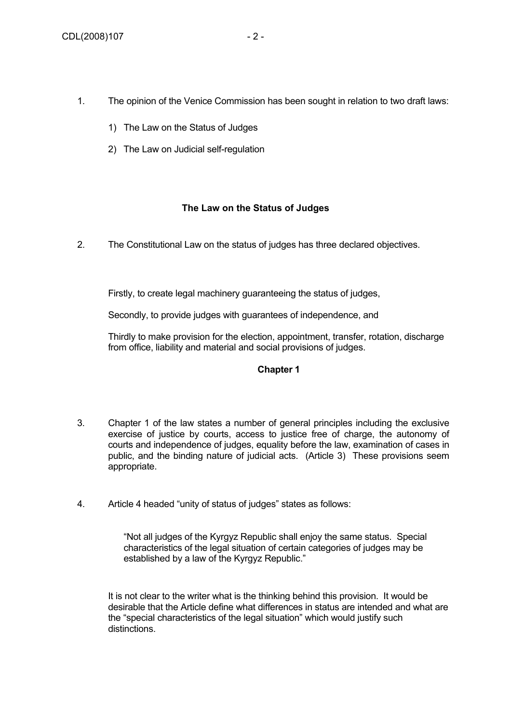- 1. The opinion of the Venice Commission has been sought in relation to two draft laws:
	- 1) The Law on the Status of Judges
	- 2) The Law on Judicial self-regulation

#### **The Law on the Status of Judges**

2. The Constitutional Law on the status of judges has three declared objectives.

Firstly, to create legal machinery guaranteeing the status of judges,

Secondly, to provide judges with guarantees of independence, and

Thirdly to make provision for the election, appointment, transfer, rotation, discharge from office, liability and material and social provisions of judges.

#### **Chapter 1**

- 3. Chapter 1 of the law states a number of general principles including the exclusive exercise of justice by courts, access to justice free of charge, the autonomy of courts and independence of judges, equality before the law, examination of cases in public, and the binding nature of judicial acts. (Article 3) These provisions seem appropriate.
- 4. Article 4 headed "unity of status of judges" states as follows:

"Not all judges of the Kyrgyz Republic shall enjoy the same status. Special characteristics of the legal situation of certain categories of judges may be established by a law of the Kyrgyz Republic."

It is not clear to the writer what is the thinking behind this provision. It would be desirable that the Article define what differences in status are intended and what are the "special characteristics of the legal situation" which would justify such distinctions.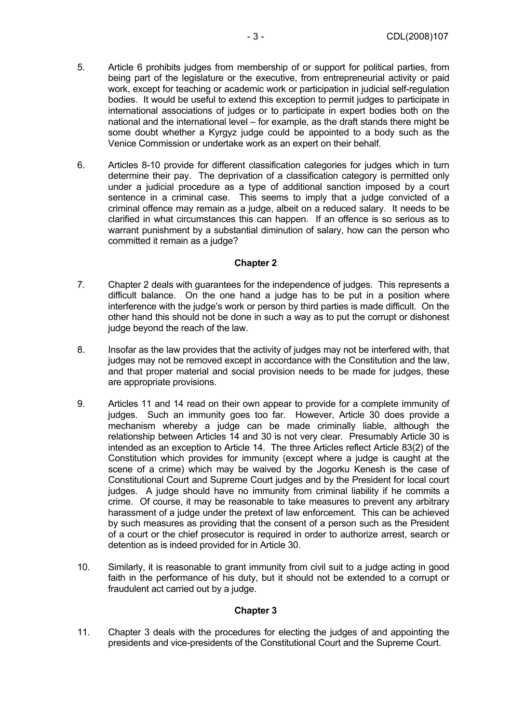- 5. Article 6 prohibits judges from membership of or support for political parties, from being part of the legislature or the executive, from entrepreneurial activity or paid work, except for teaching or academic work or participation in judicial self-regulation bodies. It would be useful to extend this exception to permit judges to participate in international associations of judges or to participate in expert bodies both on the national and the international level – for example, as the draft stands there might be some doubt whether a Kyrgyz judge could be appointed to a body such as the Venice Commission or undertake work as an expert on their behalf.
- 6. Articles 8-10 provide for different classification categories for judges which in turn determine their pay. The deprivation of a classification category is permitted only under a judicial procedure as a type of additional sanction imposed by a court sentence in a criminal case. This seems to imply that a judge convicted of a criminal offence may remain as a judge, albeit on a reduced salary. It needs to be clarified in what circumstances this can happen. If an offence is so serious as to warrant punishment by a substantial diminution of salary, how can the person who committed it remain as a judge?

- 7. Chapter 2 deals with guarantees for the independence of judges. This represents a difficult balance. On the one hand a judge has to be put in a position where interference with the judge's work or person by third parties is made difficult. On the other hand this should not be done in such a way as to put the corrupt or dishonest judge beyond the reach of the law.
- 8. Insofar as the law provides that the activity of judges may not be interfered with, that judges may not be removed except in accordance with the Constitution and the law, and that proper material and social provision needs to be made for judges, these are appropriate provisions.
- 9. Articles 11 and 14 read on their own appear to provide for a complete immunity of judges. Such an immunity goes too far. However, Article 30 does provide a mechanism whereby a judge can be made criminally liable, although the relationship between Articles 14 and 30 is not very clear. Presumably Article 30 is intended as an exception to Article 14. The three Articles reflect Article 83(2) of the Constitution which provides for immunity (except where a judge is caught at the scene of a crime) which may be waived by the Jogorku Kenesh is the case of Constitutional Court and Supreme Court judges and by the President for local court judges. A judge should have no immunity from criminal liability if he commits a crime. Of course, it may be reasonable to take measures to prevent any arbitrary harassment of a judge under the pretext of law enforcement. This can be achieved by such measures as providing that the consent of a person such as the President of a court or the chief prosecutor is required in order to authorize arrest, search or detention as is indeed provided for in Article 30.
- 10. Similarly, it is reasonable to grant immunity from civil suit to a judge acting in good faith in the performance of his duty, but it should not be extended to a corrupt or fraudulent act carried out by a judge.

#### **Chapter 3**

11. Chapter 3 deals with the procedures for electing the judges of and appointing the presidents and vice-presidents of the Constitutional Court and the Supreme Court.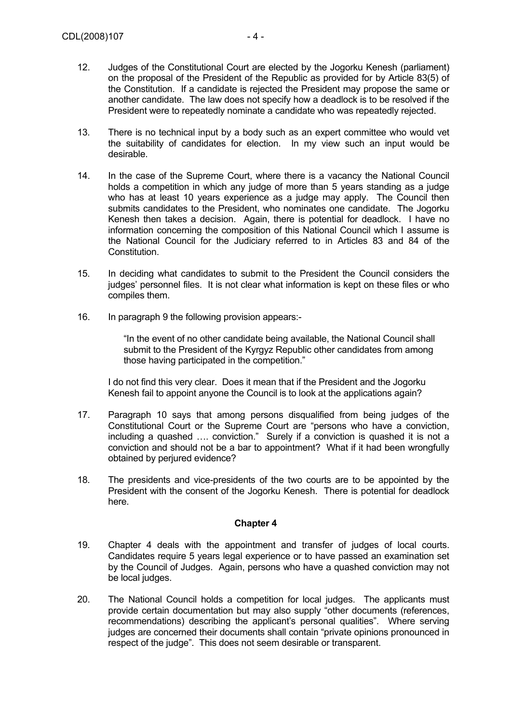- 12. Judges of the Constitutional Court are elected by the Jogorku Kenesh (parliament) on the proposal of the President of the Republic as provided for by Article 83(5) of the Constitution. If a candidate is rejected the President may propose the same or another candidate. The law does not specify how a deadlock is to be resolved if the President were to repeatedly nominate a candidate who was repeatedly rejected.
- 13. There is no technical input by a body such as an expert committee who would vet the suitability of candidates for election. In my view such an input would be desirable.
- 14. In the case of the Supreme Court, where there is a vacancy the National Council holds a competition in which any judge of more than 5 years standing as a judge who has at least 10 years experience as a judge may apply. The Council then submits candidates to the President, who nominates one candidate. The Jogorku Kenesh then takes a decision. Again, there is potential for deadlock. I have no information concerning the composition of this National Council which I assume is the National Council for the Judiciary referred to in Articles 83 and 84 of the Constitution.
- 15. In deciding what candidates to submit to the President the Council considers the judges' personnel files. It is not clear what information is kept on these files or who compiles them.
- 16. In paragraph 9 the following provision appears:-

"In the event of no other candidate being available, the National Council shall submit to the President of the Kyrgyz Republic other candidates from among those having participated in the competition."

I do not find this very clear. Does it mean that if the President and the Jogorku Kenesh fail to appoint anyone the Council is to look at the applications again?

- 17. Paragraph 10 says that among persons disqualified from being judges of the Constitutional Court or the Supreme Court are "persons who have a conviction, including a quashed …. conviction." Surely if a conviction is quashed it is not a conviction and should not be a bar to appointment? What if it had been wrongfully obtained by perjured evidence?
- 18. The presidents and vice-presidents of the two courts are to be appointed by the President with the consent of the Jogorku Kenesh. There is potential for deadlock here.

#### **Chapter 4**

- 19. Chapter 4 deals with the appointment and transfer of judges of local courts. Candidates require 5 years legal experience or to have passed an examination set by the Council of Judges. Again, persons who have a quashed conviction may not be local judges.
- 20. The National Council holds a competition for local judges. The applicants must provide certain documentation but may also supply "other documents (references, recommendations) describing the applicant's personal qualities". Where serving judges are concerned their documents shall contain "private opinions pronounced in respect of the judge". This does not seem desirable or transparent.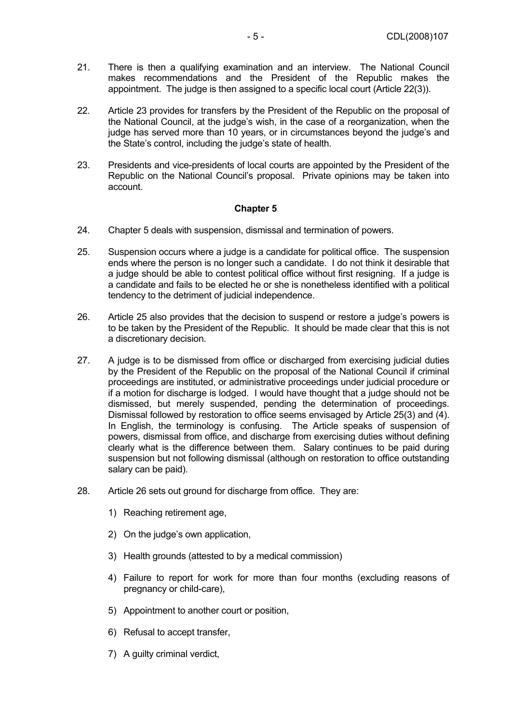- 21. There is then a qualifying examination and an interview. The National Council makes recommendations and the President of the Republic makes the appointment. The judge is then assigned to a specific local court (Article 22(3)).
- 22. Article 23 provides for transfers by the President of the Republic on the proposal of the National Council, at the judge's wish, in the case of a reorganization, when the judge has served more than 10 years, or in circumstances beyond the judge's and the State's control, including the judge's state of health.
- 23. Presidents and vice-presidents of local courts are appointed by the President of the Republic on the National Council's proposal. Private opinions may be taken into account.

- 24. Chapter 5 deals with suspension, dismissal and termination of powers.
- 25. Suspension occurs where a judge is a candidate for political office. The suspension ends where the person is no longer such a candidate. I do not think it desirable that a judge should be able to contest political office without first resigning. If a judge is a candidate and fails to be elected he or she is nonetheless identified with a political tendency to the detriment of judicial independence.
- 26. Article 25 also provides that the decision to suspend or restore a judge's powers is to be taken by the President of the Republic. It should be made clear that this is not a discretionary decision.
- 27. A judge is to be dismissed from office or discharged from exercising judicial duties by the President of the Republic on the proposal of the National Council if criminal proceedings are instituted, or administrative proceedings under judicial procedure or if a motion for discharge is lodged. I would have thought that a judge should not be dismissed, but merely suspended, pending the determination of proceedings. Dismissal followed by restoration to office seems envisaged by Article 25(3) and (4). In English, the terminology is confusing. The Article speaks of suspension of powers, dismissal from office, and discharge from exercising duties without defining clearly what is the difference between them. Salary continues to be paid during suspension but not following dismissal (although on restoration to office outstanding salary can be paid).
- 28. Article 26 sets out ground for discharge from office. They are:
	- 1) Reaching retirement age,
	- 2) On the judge's own application,
	- 3) Health grounds (attested to by a medical commission)
	- 4) Failure to report for work for more than four months (excluding reasons of pregnancy or child-care),
	- 5) Appointment to another court or position,
	- 6) Refusal to accept transfer,
	- 7) A guilty criminal verdict,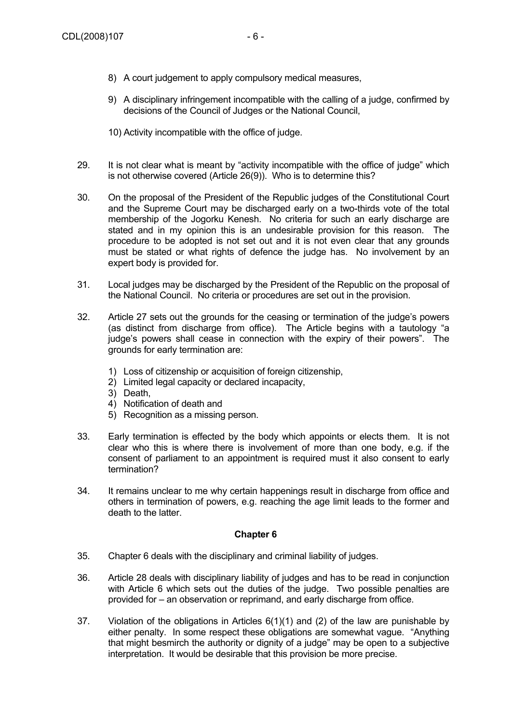- 8) A court judgement to apply compulsory medical measures,
- 9) A disciplinary infringement incompatible with the calling of a judge, confirmed by decisions of the Council of Judges or the National Council,
- 10) Activity incompatible with the office of judge.
- 29. It is not clear what is meant by "activity incompatible with the office of judge" which is not otherwise covered (Article 26(9)). Who is to determine this?
- 30. On the proposal of the President of the Republic judges of the Constitutional Court and the Supreme Court may be discharged early on a two-thirds vote of the total membership of the Jogorku Kenesh. No criteria for such an early discharge are stated and in my opinion this is an undesirable provision for this reason. The procedure to be adopted is not set out and it is not even clear that any grounds must be stated or what rights of defence the judge has. No involvement by an expert body is provided for.
- 31. Local judges may be discharged by the President of the Republic on the proposal of the National Council. No criteria or procedures are set out in the provision.
- 32. Article 27 sets out the grounds for the ceasing or termination of the judge's powers (as distinct from discharge from office). The Article begins with a tautology "a judge's powers shall cease in connection with the expiry of their powers". The grounds for early termination are:
	- 1) Loss of citizenship or acquisition of foreign citizenship,
	- 2) Limited legal capacity or declared incapacity,
	- 3) Death,
	- 4) Notification of death and
	- 5) Recognition as a missing person.
- 33. Early termination is effected by the body which appoints or elects them. It is not clear who this is where there is involvement of more than one body, e.g. if the consent of parliament to an appointment is required must it also consent to early termination?
- 34. It remains unclear to me why certain happenings result in discharge from office and others in termination of powers, e.g. reaching the age limit leads to the former and death to the latter.

- 35. Chapter 6 deals with the disciplinary and criminal liability of judges.
- 36. Article 28 deals with disciplinary liability of judges and has to be read in conjunction with Article 6 which sets out the duties of the judge. Two possible penalties are provided for – an observation or reprimand, and early discharge from office.
- 37. Violation of the obligations in Articles 6(1)(1) and (2) of the law are punishable by either penalty. In some respect these obligations are somewhat vague. "Anything that might besmirch the authority or dignity of a judge" may be open to a subjective interpretation. It would be desirable that this provision be more precise.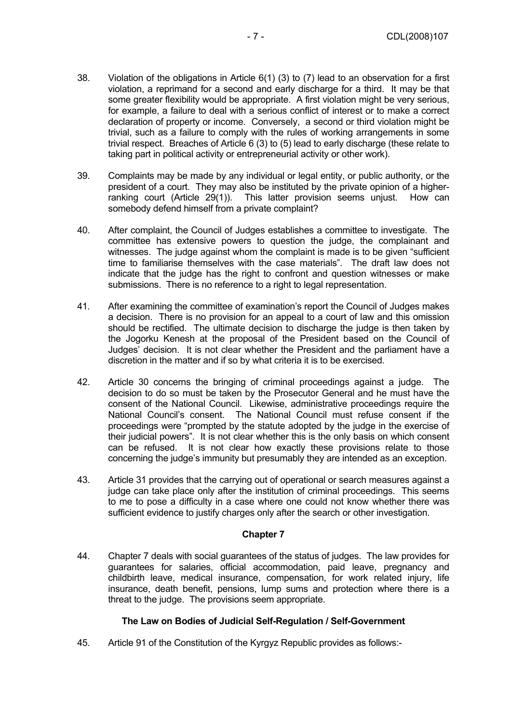- 38. Violation of the obligations in Article 6(1) (3) to (7) lead to an observation for a first violation, a reprimand for a second and early discharge for a third. It may be that some greater flexibility would be appropriate. A first violation might be very serious, for example, a failure to deal with a serious conflict of interest or to make a correct declaration of property or income. Conversely, a second or third violation might be trivial, such as a failure to comply with the rules of working arrangements in some trivial respect. Breaches of Article 6 (3) to (5) lead to early discharge (these relate to taking part in political activity or entrepreneurial activity or other work).
- 39. Complaints may be made by any individual or legal entity, or public authority, or the president of a court. They may also be instituted by the private opinion of a higherranking court (Article 29(1)). This latter provision seems unjust. How can somebody defend himself from a private complaint?
- 40. After complaint, the Council of Judges establishes a committee to investigate. The committee has extensive powers to question the judge, the complainant and witnesses. The judge against whom the complaint is made is to be given "sufficient time to familiarise themselves with the case materials". The draft law does not indicate that the judge has the right to confront and question witnesses or make submissions. There is no reference to a right to legal representation.
- 41. After examining the committee of examination's report the Council of Judges makes a decision. There is no provision for an appeal to a court of law and this omission should be rectified. The ultimate decision to discharge the judge is then taken by the Jogorku Kenesh at the proposal of the President based on the Council of Judges' decision. It is not clear whether the President and the parliament have a discretion in the matter and if so by what criteria it is to be exercised.
- 42. Article 30 concerns the bringing of criminal proceedings against a judge. The decision to do so must be taken by the Prosecutor General and he must have the consent of the National Council. Likewise, administrative proceedings require the National Council's consent. The National Council must refuse consent if the proceedings were "prompted by the statute adopted by the judge in the exercise of their judicial powers". It is not clear whether this is the only basis on which consent can be refused. It is not clear how exactly these provisions relate to those concerning the judge's immunity but presumably they are intended as an exception.
- 43. Article 31 provides that the carrying out of operational or search measures against a judge can take place only after the institution of criminal proceedings. This seems to me to pose a difficulty in a case where one could not know whether there was sufficient evidence to justify charges only after the search or other investigation.

44. Chapter 7 deals with social guarantees of the status of judges. The law provides for guarantees for salaries, official accommodation, paid leave, pregnancy and childbirth leave, medical insurance, compensation, for work related injury, life insurance, death benefit, pensions, lump sums and protection where there is a threat to the judge. The provisions seem appropriate.

#### **The Law on Bodies of Judicial Self-Regulation / Self-Government**

45. Article 91 of the Constitution of the Kyrgyz Republic provides as follows:-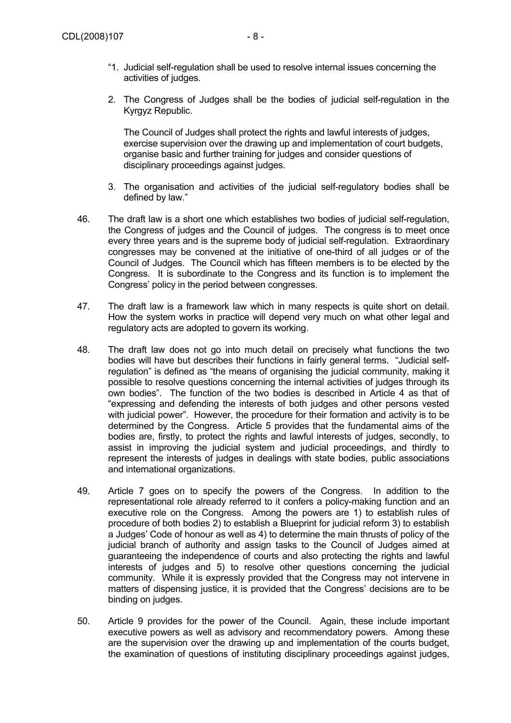2. The Congress of Judges shall be the bodies of judicial self-regulation in the Kyrgyz Republic.

The Council of Judges shall protect the rights and lawful interests of judges, exercise supervision over the drawing up and implementation of court budgets, organise basic and further training for judges and consider questions of disciplinary proceedings against judges.

- 3. The organisation and activities of the judicial self-regulatory bodies shall be defined by law."
- 46. The draft law is a short one which establishes two bodies of judicial self-regulation, the Congress of judges and the Council of judges. The congress is to meet once every three years and is the supreme body of judicial self-regulation. Extraordinary congresses may be convened at the initiative of one-third of all judges or of the Council of Judges. The Council which has fifteen members is to be elected by the Congress. It is subordinate to the Congress and its function is to implement the Congress' policy in the period between congresses.
- 47. The draft law is a framework law which in many respects is quite short on detail. How the system works in practice will depend very much on what other legal and regulatory acts are adopted to govern its working.
- 48. The draft law does not go into much detail on precisely what functions the two bodies will have but describes their functions in fairly general terms. "Judicial selfregulation" is defined as "the means of organising the judicial community, making it possible to resolve questions concerning the internal activities of judges through its own bodies". The function of the two bodies is described in Article 4 as that of "expressing and defending the interests of both judges and other persons vested with judicial power". However, the procedure for their formation and activity is to be determined by the Congress. Article 5 provides that the fundamental aims of the bodies are, firstly, to protect the rights and lawful interests of judges, secondly, to assist in improving the judicial system and judicial proceedings, and thirdly to represent the interests of judges in dealings with state bodies, public associations and international organizations.
- 49. Article 7 goes on to specify the powers of the Congress. In addition to the representational role already referred to it confers a policy-making function and an executive role on the Congress. Among the powers are 1) to establish rules of procedure of both bodies 2) to establish a Blueprint for judicial reform 3) to establish a Judges' Code of honour as well as 4) to determine the main thrusts of policy of the judicial branch of authority and assign tasks to the Council of Judges aimed at guaranteeing the independence of courts and also protecting the rights and lawful interests of judges and 5) to resolve other questions concerning the judicial community. While it is expressly provided that the Congress may not intervene in matters of dispensing justice, it is provided that the Congress' decisions are to be binding on judges.
- 50. Article 9 provides for the power of the Council. Again, these include important executive powers as well as advisory and recommendatory powers. Among these are the supervision over the drawing up and implementation of the courts budget, the examination of questions of instituting disciplinary proceedings against judges,